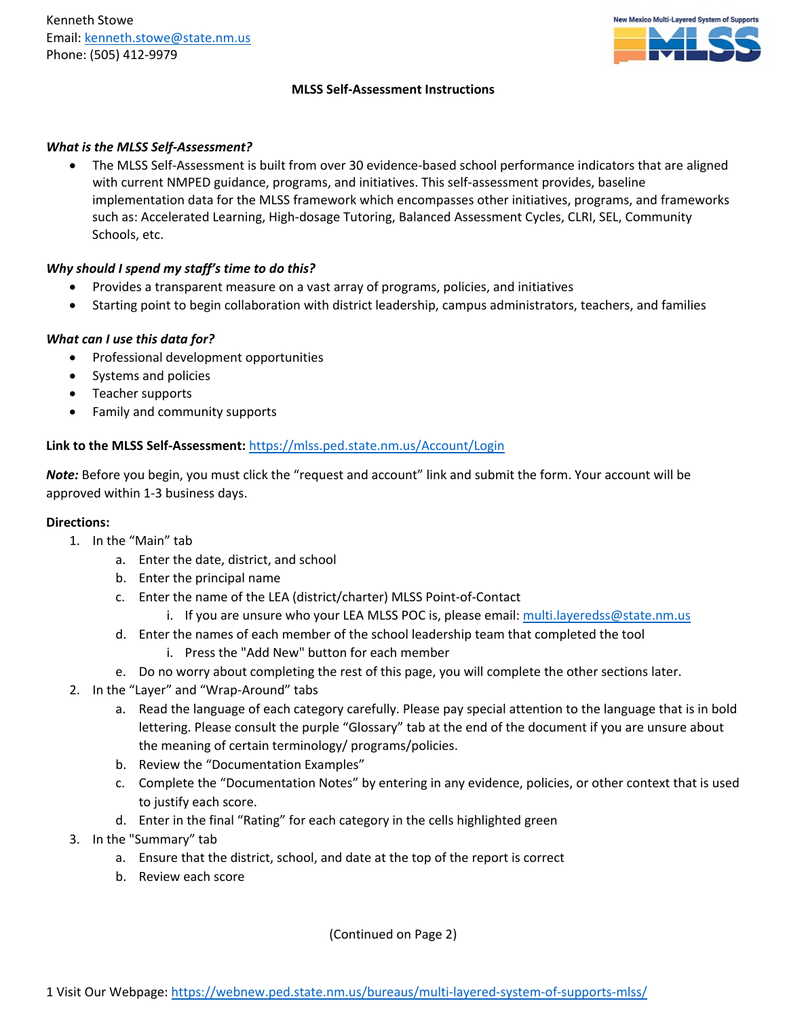

### **MLSS Self-Assessment Instructions**

### *What is the MLSS Self-Assessment?*

• The MLSS Self-Assessment is built from over 30 evidence-based school performance indicators that are aligned with current NMPED guidance, programs, and initiatives. This self-assessment provides, baseline implementation data for the MLSS framework which encompasses other initiatives, programs, and frameworks such as: Accelerated Learning, High-dosage Tutoring, Balanced Assessment Cycles, CLRI, SEL, Community Schools, etc.

# *Why should I spend my staff's time to do this?*

- Provides a transparent measure on a vast array of programs, policies, and initiatives
- Starting point to begin collaboration with district leadership, campus administrators, teachers, and families

## *What can I use this data for?*

- Professional development opportunities
- Systems and policies
- Teacher supports
- Family and community supports

## **Link to the MLSS Self-Assessment:** <https://mlss.ped.state.nm.us/Account/Login>

*Note:* Before you begin, you must click the "request and account" link and submit the form. Your account will be approved within 1-3 business days.

### **Directions:**

- 1. In the "Main" tab
	- a. Enter the date, district, and school
	- b. Enter the principal name
	- c. Enter the name of the LEA (district/charter) MLSS Point-of-Contact
		- i. If you are unsure who your LEA MLSS POC is, please email: multi.layeredss@state.nm.us
	- d. Enter the names of each member of the school leadership team that completed the tool i. Press the "Add New" button for each member
	- e. Do no worry about completing the rest of this page, you will complete the other sections later.
- 2. In the "Layer" and "Wrap-Around" tabs
	- a. Read the language of each category carefully. Please pay special attention to the language that is in bold lettering. Please consult the purple "Glossary" tab at the end of the document if you are unsure about the meaning of certain terminology/ programs/policies.
	- b. Review the "Documentation Examples"
	- c. Complete the "Documentation Notes" by entering in any evidence, policies, or other context that is used to justify each score.
	- d. Enter in the final "Rating" for each category in the cells highlighted green
- 3. In the "Summary" tab
	- a. Ensure that the district, school, and date at the top of the report is correct
	- b. Review each score

(Continued on Page 2)